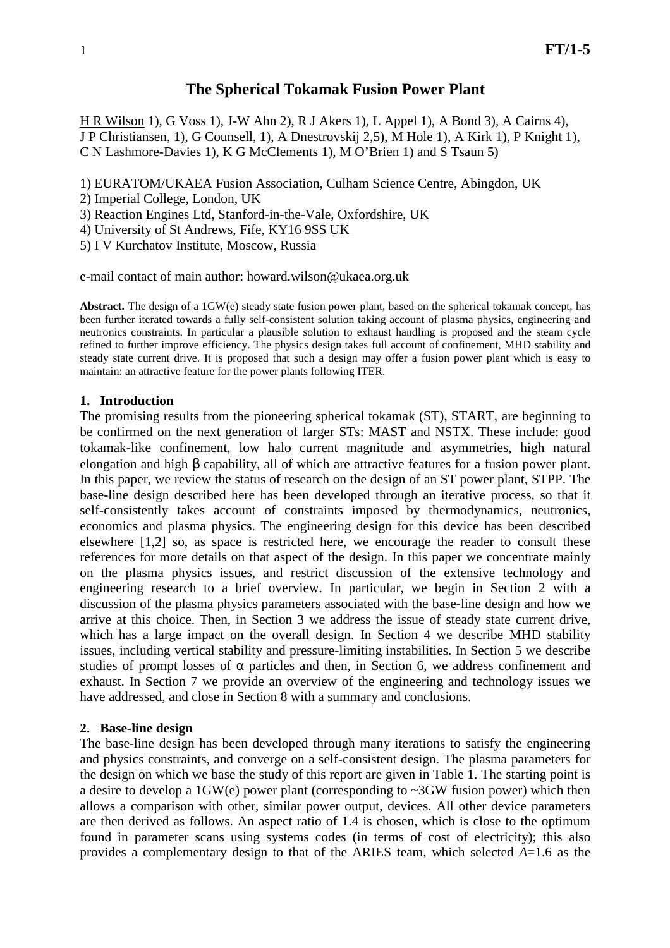# **The Spherical Tokamak Fusion Power Plant**

H R Wilson 1), G Voss 1), J-W Ahn 2), R J Akers 1), L Appel 1), A Bond 3), A Cairns 4), J P Christiansen, 1), G Counsell, 1), A Dnestrovskij 2,5), M Hole 1), A Kirk 1), P Knight 1), C N Lashmore-Davies 1), K G McClements 1), M O'Brien 1) and S Tsaun 5)

1) EURATOM/UKAEA Fusion Association, Culham Science Centre, Abingdon, UK

- 2) Imperial College, London, UK
- 3) Reaction Engines Ltd, Stanford-in-the-Vale, Oxfordshire, UK
- 4) University of St Andrews, Fife, KY16 9SS UK
- 5) I V Kurchatov Institute, Moscow, Russia

e-mail contact of main author: howard.wilson@ukaea.org.uk

Abstract. The design of a 1GW(e) steady state fusion power plant, based on the spherical tokamak concept, has been further iterated towards a fully self-consistent solution taking account of plasma physics, engineering and neutronics constraints. In particular a plausible solution to exhaust handling is proposed and the steam cycle refined to further improve efficiency. The physics design takes full account of confinement, MHD stability and steady state current drive. It is proposed that such a design may offer a fusion power plant which is easy to maintain: an attractive feature for the power plants following ITER.

## **1. Introduction**

The promising results from the pioneering spherical tokamak (ST), START, are beginning to be confirmed on the next generation of larger STs: MAST and NSTX. These include: good tokamak-like confinement, low halo current magnitude and asymmetries, high natural elongation and high β capability, all of which are attractive features for a fusion power plant. In this paper, we review the status of research on the design of an ST power plant, STPP. The base-line design described here has been developed through an iterative process, so that it self-consistently takes account of constraints imposed by thermodynamics, neutronics, economics and plasma physics. The engineering design for this device has been described elsewhere [1,2] so, as space is restricted here, we encourage the reader to consult these references for more details on that aspect of the design. In this paper we concentrate mainly on the plasma physics issues, and restrict discussion of the extensive technology and engineering research to a brief overview. In particular, we begin in Section 2 with a discussion of the plasma physics parameters associated with the base-line design and how we arrive at this choice. Then, in Section 3 we address the issue of steady state current drive, which has a large impact on the overall design. In Section 4 we describe MHD stability issues, including vertical stability and pressure-limiting instabilities. In Section 5 we describe studies of prompt losses of  $\alpha$  particles and then, in Section 6, we address confinement and exhaust. In Section 7 we provide an overview of the engineering and technology issues we have addressed, and close in Section 8 with a summary and conclusions.

#### **2. Base-line design**

The base-line design has been developed through many iterations to satisfy the engineering and physics constraints, and converge on a self-consistent design. The plasma parameters for the design on which we base the study of this report are given in Table 1. The starting point is a desire to develop a  $1$ GW(e) power plant (corresponding to  $\sim$ 3GW fusion power) which then allows a comparison with other, similar power output, devices. All other device parameters are then derived as follows. An aspect ratio of 1.4 is chosen, which is close to the optimum found in parameter scans using systems codes (in terms of cost of electricity); this also provides a complementary design to that of the ARIES team, which selected *A*=1.6 as the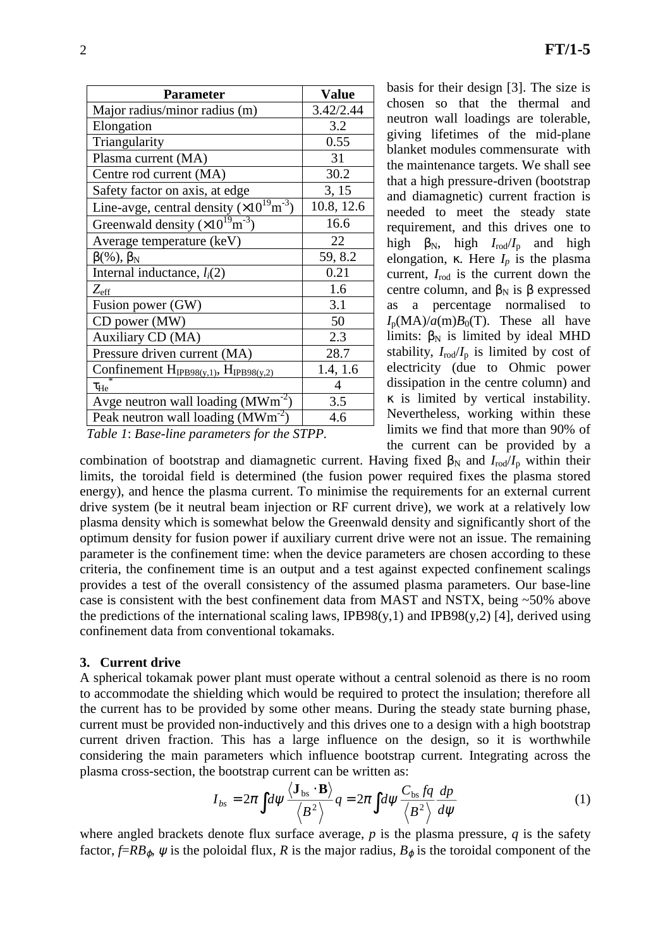| <b>Parameter</b>                                                       | <b>Value</b> |
|------------------------------------------------------------------------|--------------|
| Major radius/minor radius (m)                                          | 3.42/2.44    |
| Elongation                                                             | 3.2          |
| Triangularity                                                          | 0.55         |
| Plasma current (MA)                                                    | 31           |
| Centre rod current (MA)                                                | 30.2         |
| Safety factor on axis, at edge                                         | 3, 15        |
| Line-avge, central density $(\overline{\times 10^{19} \text{m}^{-3}})$ | 10.8, 12.6   |
| Greenwald density $(\times 10^{19} \text{m}^{-3})$                     | 16.6         |
| Average temperature (keV)                                              | 22           |
| $\beta$ (%), $\beta_N$                                                 | 59, 8.2      |
| Internal inductance, $l_i(2)$                                          | 0.21         |
| $Z_{\rm eff}$                                                          | 1.6          |
| Fusion power (GW)                                                      | 3.1          |
| CD power (MW)                                                          | 50           |
| Auxiliary CD (MA)                                                      | 2.3          |
| Pressure driven current (MA)                                           | 28.7         |
| Confinement $H_{IPB98(y,1)}$ , $H_{IPB98(y,2)}$                        | 1.4, 1.6     |
| $\tau_{He}$                                                            | 4            |
| Avge neutron wall loading $(MWm^{-2})$                                 | 3.5          |
| Peak neutron wall loading $(MWm^{-2})$                                 | 4.6          |
| Table 1: Base-line parameters for the STPP.                            |              |

basis for their design [3]. The size is chosen so that the thermal and neutron wall loadings are tolerable, giving lifetimes of the mid-plane blanket modules commensurate with the maintenance targets. We shall see that a high pressure-driven (bootstrap and diamagnetic) current fraction is needed to meet the steady state requirement, and this drives one to high  $\beta_N$ , high  $I_{rod}/I_p$  and high elongation, κ. Here  $I_p$  is the plasma current, *I*rod is the current down the centre column, and  $\beta_N$  is β expressed as a percentage normalised to  $I_p(MA)/a(m)B_0(T)$ . These all have limits:  $\beta_N$  is limited by ideal MHD stability,  $I_{\text{rod}}/I_{\text{p}}$  is limited by cost of electricity (due to Ohmic power dissipation in the centre column) and κ is limited by vertical instability. Nevertheless, working within these limits we find that more than 90% of the current can be provided by a

combination of bootstrap and diamagnetic current. Having fixed  $\beta_N$  and  $I_{\text{rod}}/I_p$  within their limits, the toroidal field is determined (the fusion power required fixes the plasma stored energy), and hence the plasma current. To minimise the requirements for an external current drive system (be it neutral beam injection or RF current drive), we work at a relatively low plasma density which is somewhat below the Greenwald density and significantly short of the optimum density for fusion power if auxiliary current drive were not an issue. The remaining parameter is the confinement time: when the device parameters are chosen according to these criteria, the confinement time is an output and a test against expected confinement scalings provides a test of the overall consistency of the assumed plasma parameters. Our base-line case is consistent with the best confinement data from MAST and NSTX, being ~50% above the predictions of the international scaling laws, IPB98(y,1) and IPB98(y,2) [4], derived using confinement data from conventional tokamaks.

# **3. Current drive**

A spherical tokamak power plant must operate without a central solenoid as there is no room to accommodate the shielding which would be required to protect the insulation; therefore all the current has to be provided by some other means. During the steady state burning phase, current must be provided non-inductively and this drives one to a design with a high bootstrap current driven fraction. This has a large influence on the design, so it is worthwhile considering the main parameters which influence bootstrap current. Integrating across the plasma cross-section, the bootstrap current can be written as:

$$
I_{bs} = 2\pi \int d\psi \frac{\langle \mathbf{J}_{bs} \cdot \mathbf{B} \rangle}{\langle B^2 \rangle} q = 2\pi \int d\psi \frac{C_{bs} f q}{\langle B^2 \rangle} \frac{dp}{d\psi}
$$
(1)

where angled brackets denote flux surface average,  $p$  is the plasma pressure,  $q$  is the safety factor,  $f=R B_{\varphi}$ ,  $\psi$  is the poloidal flux, *R* is the major radius,  $B_{\varphi}$  is the toroidal component of the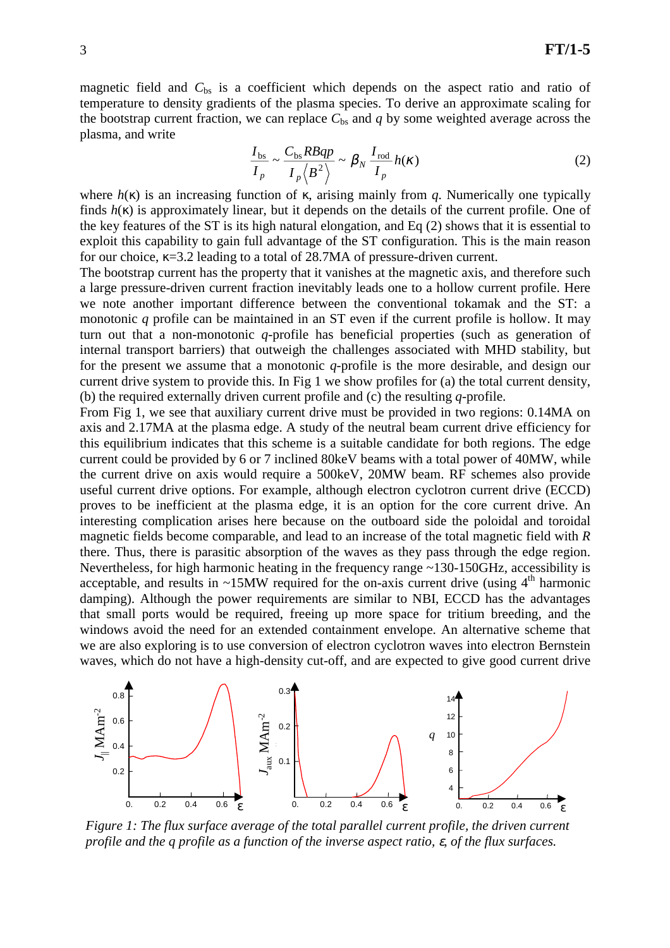magnetic field and *C*bs is a coefficient which depends on the aspect ratio and ratio of temperature to density gradients of the plasma species. To derive an approximate scaling for the bootstrap current fraction, we can replace  $C_{bs}$  and  $q$  by some weighted average across the plasma, and write

$$
\frac{I_{\rm bs}}{I_p} \sim \frac{C_{\rm bs} R B q p}{I_p \langle B^2 \rangle} \sim \beta_N \frac{I_{\rm rod}}{I_p} h(\kappa)
$$
\n(2)

where  $h(\kappa)$  is an increasing function of  $\kappa$ , arising mainly from *q*. Numerically one typically finds  $h(\kappa)$  is approximately linear, but it depends on the details of the current profile. One of the key features of the ST is its high natural elongation, and Eq (2) shows that it is essential to exploit this capability to gain full advantage of the ST configuration. This is the main reason for our choice,  $\kappa$ =3.2 leading to a total of 28.7MA of pressure-driven current.

The bootstrap current has the property that it vanishes at the magnetic axis, and therefore such a large pressure-driven current fraction inevitably leads one to a hollow current profile. Here we note another important difference between the conventional tokamak and the ST: a monotonic *q* profile can be maintained in an ST even if the current profile is hollow. It may turn out that a non-monotonic *q*-profile has beneficial properties (such as generation of internal transport barriers) that outweigh the challenges associated with MHD stability, but for the present we assume that a monotonic *q*-profile is the more desirable, and design our current drive system to provide this. In Fig 1 we show profiles for (a) the total current density, (b) the required externally driven current profile and (c) the resulting *q*-profile.

From Fig 1, we see that auxiliary current drive must be provided in two regions: 0.14MA on axis and 2.17MA at the plasma edge. A study of the neutral beam current drive efficiency for this equilibrium indicates that this scheme is a suitable candidate for both regions. The edge current could be provided by 6 or 7 inclined 80keV beams with a total power of 40MW, while the current drive on axis would require a 500keV, 20MW beam. RF schemes also provide useful current drive options. For example, although electron cyclotron current drive (ECCD) proves to be inefficient at the plasma edge, it is an option for the core current drive. An interesting complication arises here because on the outboard side the poloidal and toroidal magnetic fields become comparable, and lead to an increase of the total magnetic field with *R* there. Thus, there is parasitic absorption of the waves as they pass through the edge region. Nevertheless, for high harmonic heating in the frequency range ~130-150GHz, accessibility is acceptable, and results in  $\sim$ 15MW required for the on-axis current drive (using  $4<sup>th</sup>$  harmonic damping). Although the power requirements are similar to NBI, ECCD has the advantages that small ports would be required, freeing up more space for tritium breeding, and the windows avoid the need for an extended containment envelope. An alternative scheme that we are also exploring is to use conversion of electron cyclotron waves into electron Bernstein waves, which do not have a high-density cut-off, and are expected to give good current drive



*Figure 1: The flux surface average of the total parallel current profile, the driven current profile and the q profile as a function of the inverse aspect ratio,* ε*, of the flux surfaces.*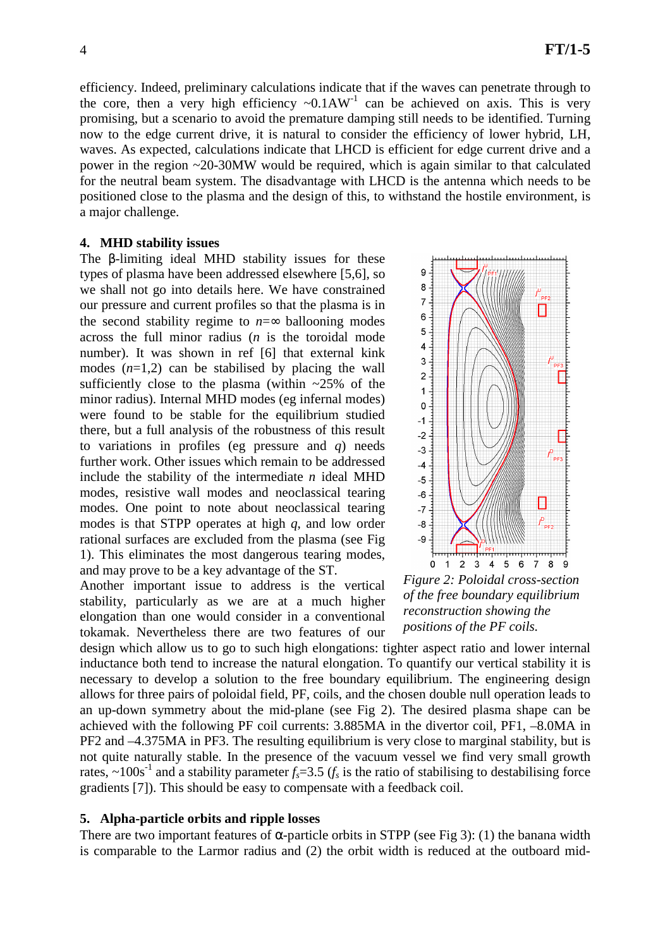efficiency. Indeed, preliminary calculations indicate that if the waves can penetrate through to the core, then a very high efficiency  $\sim 0.1 \text{AW}^{-1}$  can be achieved on axis. This is very promising, but a scenario to avoid the premature damping still needs to be identified. Turning now to the edge current drive, it is natural to consider the efficiency of lower hybrid, LH, waves. As expected, calculations indicate that LHCD is efficient for edge current drive and a power in the region ~20-30MW would be required, which is again similar to that calculated for the neutral beam system. The disadvantage with LHCD is the antenna which needs to be positioned close to the plasma and the design of this, to withstand the hostile environment, is a major challenge.

## **4. MHD stability issues**

The β-limiting ideal MHD stability issues for these types of plasma have been addressed elsewhere [5,6], so we shall not go into details here. We have constrained our pressure and current profiles so that the plasma is in the second stability regime to  $n=\infty$  ballooning modes across the full minor radius (*n* is the toroidal mode number). It was shown in ref [6] that external kink modes  $(n=1,2)$  can be stabilised by placing the wall sufficiently close to the plasma (within  $\approx 25\%$  of the minor radius). Internal MHD modes (eg infernal modes) were found to be stable for the equilibrium studied there, but a full analysis of the robustness of this result to variations in profiles (eg pressure and *q*) needs further work. Other issues which remain to be addressed include the stability of the intermediate *n* ideal MHD modes, resistive wall modes and neoclassical tearing modes. One point to note about neoclassical tearing modes is that STPP operates at high *q*, and low order rational surfaces are excluded from the plasma (see Fig 1). This eliminates the most dangerous tearing modes, and may prove to be a key advantage of the ST.

Another important issue to address is the vertical stability, particularly as we are at a much higher elongation than one would consider in a conventional tokamak. Nevertheless there are two features of our



*Figure 2: Poloidal cross-section of the free boundary equilibrium reconstruction showing the positions of the PF coils.*

design which allow us to go to such high elongations: tighter aspect ratio and lower internal inductance both tend to increase the natural elongation. To quantify our vertical stability it is necessary to develop a solution to the free boundary equilibrium. The engineering design allows for three pairs of poloidal field, PF, coils, and the chosen double null operation leads to an up-down symmetry about the mid-plane (see Fig 2). The desired plasma shape can be achieved with the following PF coil currents: 3.885MA in the divertor coil, PF1, –8.0MA in PF2 and –4.375MA in PF3. The resulting equilibrium is very close to marginal stability, but is not quite naturally stable. In the presence of the vacuum vessel we find very small growth rates,  $\sim$ 100s<sup>-1</sup> and a stability parameter  $f_s$ =3.5 ( $f_s$  is the ratio of stabilising to destabilising force gradients [7]). This should be easy to compensate with a feedback coil.

#### **5. Alpha-particle orbits and ripple losses**

There are two important features of  $\alpha$ -particle orbits in STPP (see Fig 3): (1) the banana width is comparable to the Larmor radius and (2) the orbit width is reduced at the outboard mid-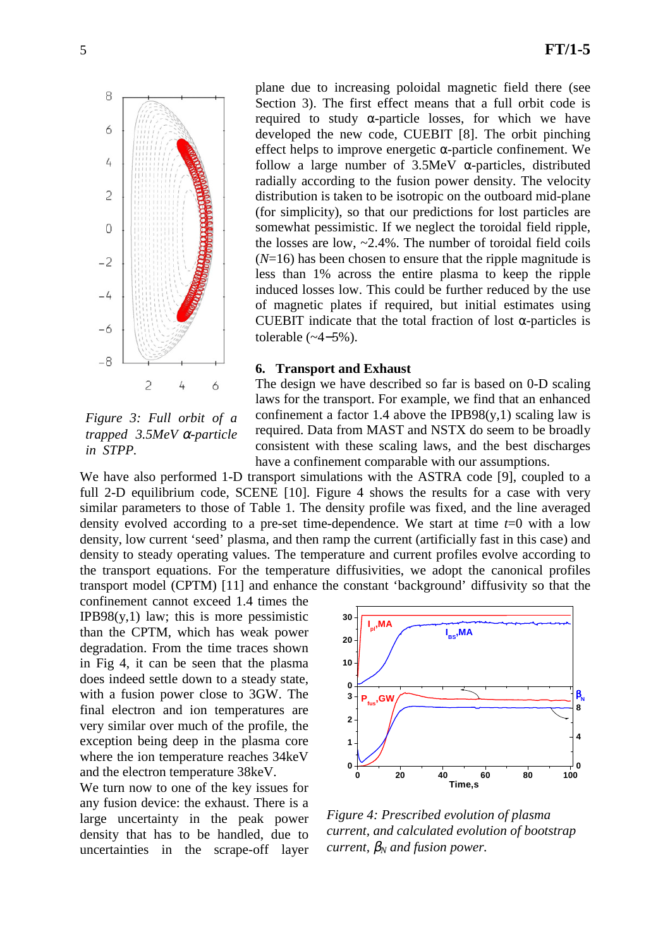

*Figure 3: Full orbit of a trapped 3.5MeV* α*-particle in STPP.*

plane due to increasing poloidal magnetic field there (see Section 3). The first effect means that a full orbit code is required to study α-particle losses, for which we have developed the new code, CUEBIT [8]. The orbit pinching effect helps to improve energetic  $\alpha$ -particle confinement. We follow a large number of  $3.5MeV$  α-particles, distributed radially according to the fusion power density. The velocity distribution is taken to be isotropic on the outboard mid-plane (for simplicity), so that our predictions for lost particles are somewhat pessimistic. If we neglect the toroidal field ripple, the losses are low,  $\sim$  2.4%. The number of toroidal field coils  $(N=16)$  has been chosen to ensure that the ripple magnitude is less than 1% across the entire plasma to keep the ripple induced losses low. This could be further reduced by the use of magnetic plates if required, but initial estimates using CUEBIT indicate that the total fraction of lost  $\alpha$ -particles is tolerable  $(-4-5\%)$ .

#### **6. Transport and Exhaust**

The design we have described so far is based on 0-D scaling laws for the transport. For example, we find that an enhanced confinement a factor 1.4 above the IPB98(y, 1) scaling law is required. Data from MAST and NSTX do seem to be broadly consistent with these scaling laws, and the best discharges have a confinement comparable with our assumptions.

We have also performed 1-D transport simulations with the ASTRA code [9], coupled to a full 2-D equilibrium code, SCENE [10]. Figure 4 shows the results for a case with very similar parameters to those of Table 1. The density profile was fixed, and the line averaged density evolved according to a pre-set time-dependence. We start at time *t*=0 with a low density, low current 'seed' plasma, and then ramp the current (artificially fast in this case) and density to steady operating values. The temperature and current profiles evolve according to the transport equations. For the temperature diffusivities, we adopt the canonical profiles transport model (CPTM) [11] and enhance the constant 'background' diffusivity so that the

confinement cannot exceed 1.4 times the IPB98 $(y,1)$  law; this is more pessimistic than the CPTM, which has weak power degradation. From the time traces shown in Fig 4, it can be seen that the plasma does indeed settle down to a steady state, with a fusion power close to 3GW. The final electron and ion temperatures are very similar over much of the profile, the exception being deep in the plasma core where the ion temperature reaches 34keV and the electron temperature 38keV.

We turn now to one of the key issues for any fusion device: the exhaust. There is a large uncertainty in the peak power density that has to be handled, due to uncertainties in the scrape-off layer



*Figure 4: Prescribed evolution of plasma current, and calculated evolution of bootstrap current,*  $\beta_N$  *and fusion power.*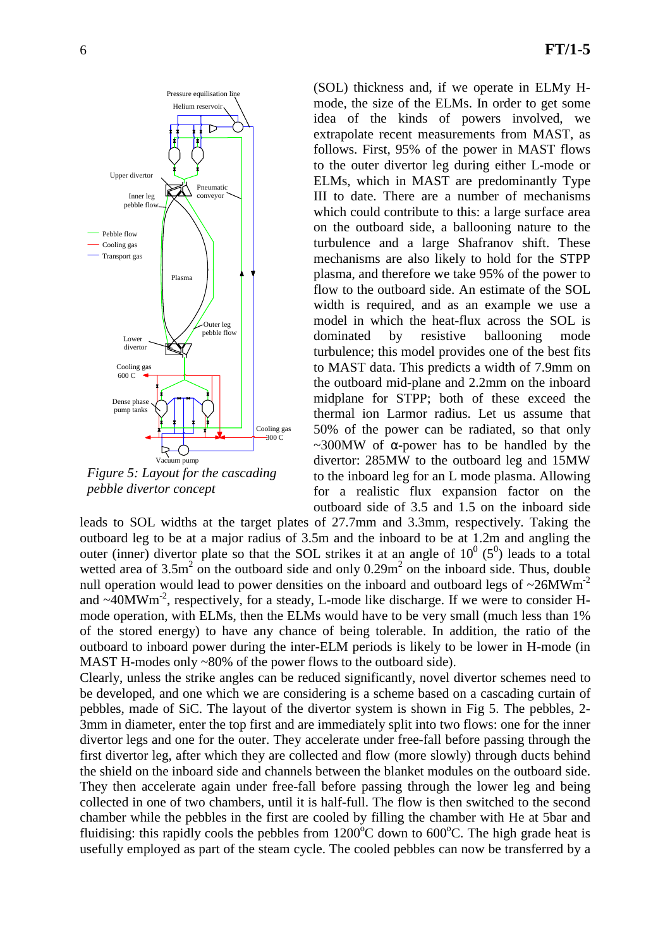

*Figure 5: Layout for the cascading pebble divertor concept*

(SOL) thickness and, if we operate in ELMy Hmode, the size of the ELMs. In order to get some idea of the kinds of powers involved, we extrapolate recent measurements from MAST, as follows. First, 95% of the power in MAST flows to the outer divertor leg during either L-mode or ELMs, which in MAST are predominantly Type III to date. There are a number of mechanisms which could contribute to this: a large surface area on the outboard side, a ballooning nature to the turbulence and a large Shafranov shift. These mechanisms are also likely to hold for the STPP plasma, and therefore we take 95% of the power to flow to the outboard side. An estimate of the SOL width is required, and as an example we use a model in which the heat-flux across the SOL is dominated by resistive ballooning mode turbulence; this model provides one of the best fits to MAST data. This predicts a width of 7.9mm on the outboard mid-plane and 2.2mm on the inboard midplane for STPP; both of these exceed the thermal ion Larmor radius. Let us assume that 50% of the power can be radiated, so that only  $\sim$ 300MW of  $\alpha$ -power has to be handled by the divertor: 285MW to the outboard leg and 15MW to the inboard leg for an L mode plasma. Allowing for a realistic flux expansion factor on the outboard side of 3.5 and 1.5 on the inboard side

leads to SOL widths at the target plates of 27.7mm and 3.3mm, respectively. Taking the outboard leg to be at a major radius of 3.5m and the inboard to be at 1.2m and angling the outer (inner) divertor plate so that the SOL strikes it at an angle of  $10^0$  ( $5^0$ ) leads to a total wetted area of  $3.5 \text{m}^2$  on the outboard side and only  $0.29 \text{m}^2$  on the inboard side. Thus, double null operation would lead to power densities on the inboard and outboard legs of  $\sim 26$ MWm<sup>-2</sup> and  $\sim$ 40MWm<sup>-2</sup>, respectively, for a steady, L-mode like discharge. If we were to consider Hmode operation, with ELMs, then the ELMs would have to be very small (much less than 1% of the stored energy) to have any chance of being tolerable. In addition, the ratio of the outboard to inboard power during the inter-ELM periods is likely to be lower in H-mode (in MAST H-modes only ~80% of the power flows to the outboard side).

Clearly, unless the strike angles can be reduced significantly, novel divertor schemes need to be developed, and one which we are considering is a scheme based on a cascading curtain of pebbles, made of SiC. The layout of the divertor system is shown in Fig 5. The pebbles, 2- 3mm in diameter, enter the top first and are immediately split into two flows: one for the inner divertor legs and one for the outer. They accelerate under free-fall before passing through the first divertor leg, after which they are collected and flow (more slowly) through ducts behind the shield on the inboard side and channels between the blanket modules on the outboard side. They then accelerate again under free-fall before passing through the lower leg and being collected in one of two chambers, until it is half-full. The flow is then switched to the second chamber while the pebbles in the first are cooled by filling the chamber with He at 5bar and fluidising: this rapidly cools the pebbles from  $1200^{\circ}$ C down to  $600^{\circ}$ C. The high grade heat is usefully employed as part of the steam cycle. The cooled pebbles can now be transferred by a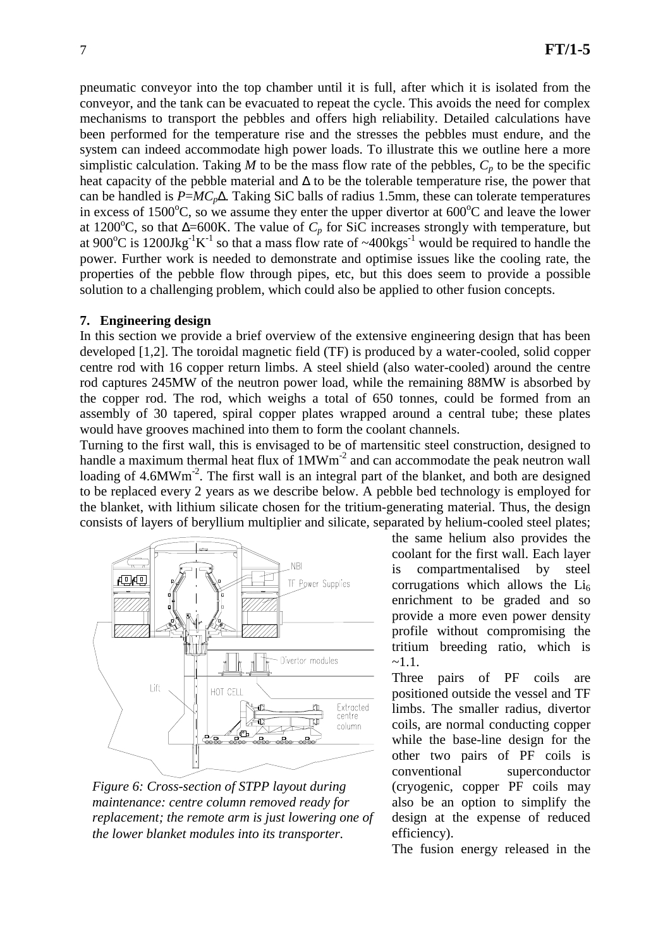pneumatic conveyor into the top chamber until it is full, after which it is isolated from the conveyor, and the tank can be evacuated to repeat the cycle. This avoids the need for complex mechanisms to transport the pebbles and offers high reliability. Detailed calculations have been performed for the temperature rise and the stresses the pebbles must endure, and the system can indeed accommodate high power loads. To illustrate this we outline here a more simplistic calculation. Taking  $M$  to be the mass flow rate of the pebbles,  $C_p$  to be the specific heat capacity of the pebble material and ∆ to be the tolerable temperature rise, the power that can be handled is *P*=*MCp*∆. Taking SiC balls of radius 1.5mm, these can tolerate temperatures in excess of 1500°C, so we assume they enter the upper divertor at  $600^{\circ}$ C and leave the lower at 1200<sup>o</sup>C, so that  $\Delta = 600$ K. The value of  $C_p$  for SiC increases strongly with temperature, but at 900 $^{\circ}$ C is 1200Jkg<sup>-1</sup>K<sup>-1</sup> so that a mass flow rate of ~400kgs<sup>-1</sup> would be required to handle the power. Further work is needed to demonstrate and optimise issues like the cooling rate, the properties of the pebble flow through pipes, etc, but this does seem to provide a possible solution to a challenging problem, which could also be applied to other fusion concepts.

## **7. Engineering design**

In this section we provide a brief overview of the extensive engineering design that has been developed [1,2]. The toroidal magnetic field (TF) is produced by a water-cooled, solid copper centre rod with 16 copper return limbs. A steel shield (also water-cooled) around the centre rod captures 245MW of the neutron power load, while the remaining 88MW is absorbed by the copper rod. The rod, which weighs a total of 650 tonnes, could be formed from an assembly of 30 tapered, spiral copper plates wrapped around a central tube; these plates would have grooves machined into them to form the coolant channels.

Turning to the first wall, this is envisaged to be of martensitic steel construction, designed to handle a maximum thermal heat flux of  $1MWm<sup>-2</sup>$  and can accommodate the peak neutron wall loading of 4.6MWm<sup>-2</sup>. The first wall is an integral part of the blanket, and both are designed to be replaced every 2 years as we describe below. A pebble bed technology is employed for the blanket, with lithium silicate chosen for the tritium-generating material. Thus, the design consists of layers of beryllium multiplier and silicate, separated by helium-cooled steel plates;



*Figure 6: Cross-section of STPP layout during maintenance: centre column removed ready for replacement; the remote arm is just lowering one of the lower blanket modules into its transporter.*

the same helium also provides the coolant for the first wall. Each layer is compartmentalised by steel corrugations which allows the  $Li<sub>6</sub>$ enrichment to be graded and so provide a more even power density profile without compromising the tritium breeding ratio, which is  $~1.1.$ 

Three pairs of PF coils are positioned outside the vessel and TF limbs. The smaller radius, divertor coils, are normal conducting copper while the base-line design for the other two pairs of PF coils is conventional superconductor (cryogenic, copper PF coils may also be an option to simplify the design at the expense of reduced efficiency).

The fusion energy released in the